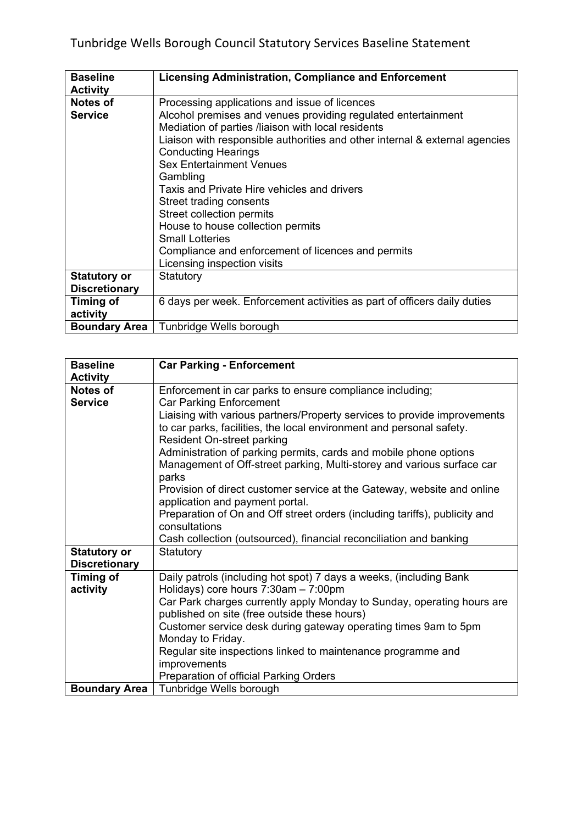| <b>Baseline</b>      | <b>Licensing Administration, Compliance and Enforcement</b>                 |
|----------------------|-----------------------------------------------------------------------------|
| <b>Activity</b>      |                                                                             |
| Notes of             | Processing applications and issue of licences                               |
| <b>Service</b>       | Alcohol premises and venues providing regulated entertainment               |
|                      | Mediation of parties /liaison with local residents                          |
|                      | Liaison with responsible authorities and other internal & external agencies |
|                      | <b>Conducting Hearings</b>                                                  |
|                      | <b>Sex Entertainment Venues</b>                                             |
|                      | Gambling                                                                    |
|                      | Taxis and Private Hire vehicles and drivers                                 |
|                      | Street trading consents                                                     |
|                      | Street collection permits                                                   |
|                      | House to house collection permits                                           |
|                      | <b>Small Lotteries</b>                                                      |
|                      | Compliance and enforcement of licences and permits                          |
|                      | Licensing inspection visits                                                 |
| <b>Statutory or</b>  | Statutory                                                                   |
| <b>Discretionary</b> |                                                                             |
| Timing of            | 6 days per week. Enforcement activities as part of officers daily duties    |
| activity             |                                                                             |
| <b>Boundary Area</b> | Tunbridge Wells borough                                                     |

| <b>Baseline</b>      | <b>Car Parking - Enforcement</b>                                                                                                                                                      |
|----------------------|---------------------------------------------------------------------------------------------------------------------------------------------------------------------------------------|
| <b>Activity</b>      |                                                                                                                                                                                       |
| Notes of             | Enforcement in car parks to ensure compliance including;                                                                                                                              |
| <b>Service</b>       | <b>Car Parking Enforcement</b>                                                                                                                                                        |
|                      | Liaising with various partners/Property services to provide improvements<br>to car parks, facilities, the local environment and personal safety.<br><b>Resident On-street parking</b> |
|                      | Administration of parking permits, cards and mobile phone options<br>Management of Off-street parking, Multi-storey and various surface car<br>parks                                  |
|                      | Provision of direct customer service at the Gateway, website and online<br>application and payment portal.                                                                            |
|                      | Preparation of On and Off street orders (including tariffs), publicity and<br>consultations                                                                                           |
|                      | Cash collection (outsourced), financial reconciliation and banking                                                                                                                    |
| <b>Statutory or</b>  | Statutory                                                                                                                                                                             |
| <b>Discretionary</b> |                                                                                                                                                                                       |
| <b>Timing of</b>     | Daily patrols (including hot spot) 7 days a weeks, (including Bank                                                                                                                    |
| activity             | Holidays) core hours 7:30am - 7:00pm                                                                                                                                                  |
|                      | Car Park charges currently apply Monday to Sunday, operating hours are                                                                                                                |
|                      | published on site (free outside these hours)                                                                                                                                          |
|                      | Customer service desk during gateway operating times 9am to 5pm<br>Monday to Friday.                                                                                                  |
|                      | Regular site inspections linked to maintenance programme and                                                                                                                          |
|                      | improvements                                                                                                                                                                          |
|                      | Preparation of official Parking Orders                                                                                                                                                |
| <b>Boundary Area</b> | Tunbridge Wells borough                                                                                                                                                               |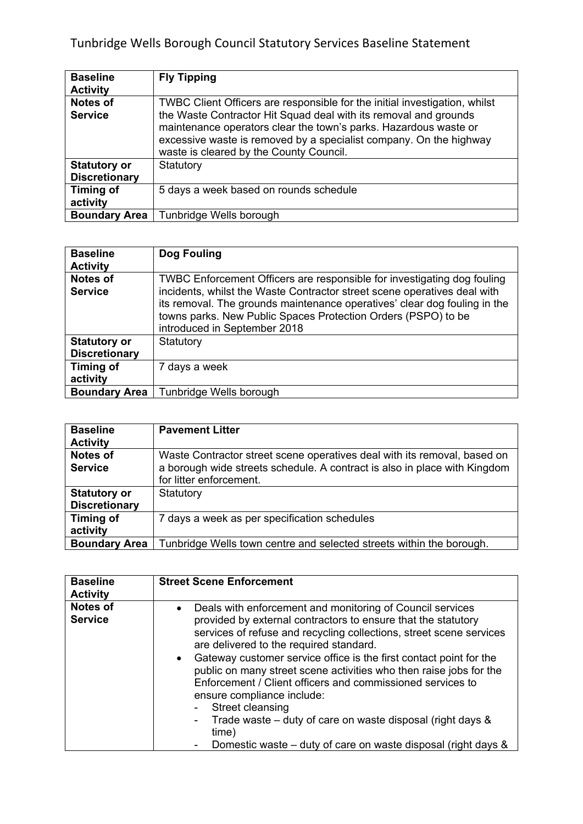## Tunbridge Wells Borough Council Statutory Services Baseline Statement

| <b>Baseline</b>                             | <b>Fly Tipping</b>                                                                                                                                                                                                                                                                                                                  |
|---------------------------------------------|-------------------------------------------------------------------------------------------------------------------------------------------------------------------------------------------------------------------------------------------------------------------------------------------------------------------------------------|
| <b>Activity</b>                             |                                                                                                                                                                                                                                                                                                                                     |
| <b>Notes of</b><br><b>Service</b>           | TWBC Client Officers are responsible for the initial investigation, whilst<br>the Waste Contractor Hit Squad deal with its removal and grounds<br>maintenance operators clear the town's parks. Hazardous waste or<br>excessive waste is removed by a specialist company. On the highway<br>waste is cleared by the County Council. |
| <b>Statutory or</b><br><b>Discretionary</b> | Statutory                                                                                                                                                                                                                                                                                                                           |
| <b>Timing of</b><br>activity                | 5 days a week based on rounds schedule                                                                                                                                                                                                                                                                                              |
| <b>Boundary Area</b>                        | Tunbridge Wells borough                                                                                                                                                                                                                                                                                                             |

| <b>Baseline</b><br><b>Activity</b>          | Dog Fouling                                                                                                                                                                                                                                                                                                                       |
|---------------------------------------------|-----------------------------------------------------------------------------------------------------------------------------------------------------------------------------------------------------------------------------------------------------------------------------------------------------------------------------------|
| <b>Notes of</b><br><b>Service</b>           | TWBC Enforcement Officers are responsible for investigating dog fouling<br>incidents, whilst the Waste Contractor street scene operatives deal with<br>its removal. The grounds maintenance operatives' clear dog fouling in the<br>towns parks. New Public Spaces Protection Orders (PSPO) to be<br>introduced in September 2018 |
| <b>Statutory or</b><br><b>Discretionary</b> | Statutory                                                                                                                                                                                                                                                                                                                         |
| Timing of<br>activity                       | 7 days a week                                                                                                                                                                                                                                                                                                                     |
| <b>Boundary Area</b>                        | Tunbridge Wells borough                                                                                                                                                                                                                                                                                                           |

| <b>Baseline</b>      | <b>Pavement Litter</b>                                                    |
|----------------------|---------------------------------------------------------------------------|
| <b>Activity</b>      |                                                                           |
| <b>Notes of</b>      | Waste Contractor street scene operatives deal with its removal, based on  |
| <b>Service</b>       | a borough wide streets schedule. A contract is also in place with Kingdom |
|                      | for litter enforcement.                                                   |
| <b>Statutory or</b>  | Statutory                                                                 |
| <b>Discretionary</b> |                                                                           |
| Timing of            | 7 days a week as per specification schedules                              |
| activity             |                                                                           |
| <b>Boundary Area</b> | Tunbridge Wells town centre and selected streets within the borough.      |

| <b>Baseline</b><br><b>Activity</b> | <b>Street Scene Enforcement</b>                                                                                                                                                                                                                                                                                                                                                                                                                                                                                                                                                                                                                                                    |
|------------------------------------|------------------------------------------------------------------------------------------------------------------------------------------------------------------------------------------------------------------------------------------------------------------------------------------------------------------------------------------------------------------------------------------------------------------------------------------------------------------------------------------------------------------------------------------------------------------------------------------------------------------------------------------------------------------------------------|
| <b>Notes of</b><br><b>Service</b>  | Deals with enforcement and monitoring of Council services<br>$\bullet$<br>provided by external contractors to ensure that the statutory<br>services of refuse and recycling collections, street scene services<br>are delivered to the required standard.<br>Gateway customer service office is the first contact point for the<br>public on many street scene activities who then raise jobs for the<br>Enforcement / Client officers and commissioned services to<br>ensure compliance include:<br>Street cleansing<br>Trade waste – duty of care on waste disposal (right days $\&$<br>$\blacksquare$<br>time)<br>Domestic waste – duty of care on waste disposal (right days & |